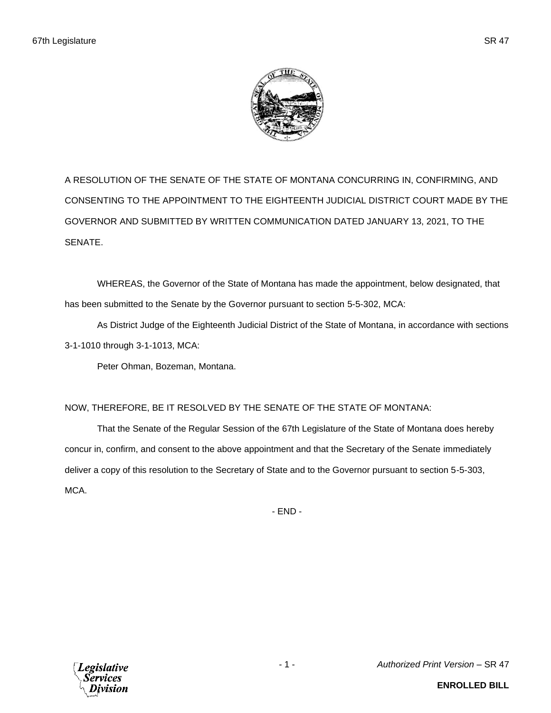

A RESOLUTION OF THE SENATE OF THE STATE OF MONTANA CONCURRING IN, CONFIRMING, AND CONSENTING TO THE APPOINTMENT TO THE EIGHTEENTH JUDICIAL DISTRICT COURT MADE BY THE GOVERNOR AND SUBMITTED BY WRITTEN COMMUNICATION DATED JANUARY 13, 2021, TO THE SENATE.

WHEREAS, the Governor of the State of Montana has made the appointment, below designated, that has been submitted to the Senate by the Governor pursuant to section 5-5-302, MCA:

As District Judge of the Eighteenth Judicial District of the State of Montana, in accordance with sections 3-1-1010 through 3-1-1013, MCA:

Peter Ohman, Bozeman, Montana.

## NOW, THEREFORE, BE IT RESOLVED BY THE SENATE OF THE STATE OF MONTANA:

That the Senate of the Regular Session of the 67th Legislature of the State of Montana does hereby concur in, confirm, and consent to the above appointment and that the Secretary of the Senate immediately deliver a copy of this resolution to the Secretary of State and to the Governor pursuant to section 5-5-303, MCA.

- END -



- 1 - *Authorized Print Version* – SR 47

**ENROLLED BILL**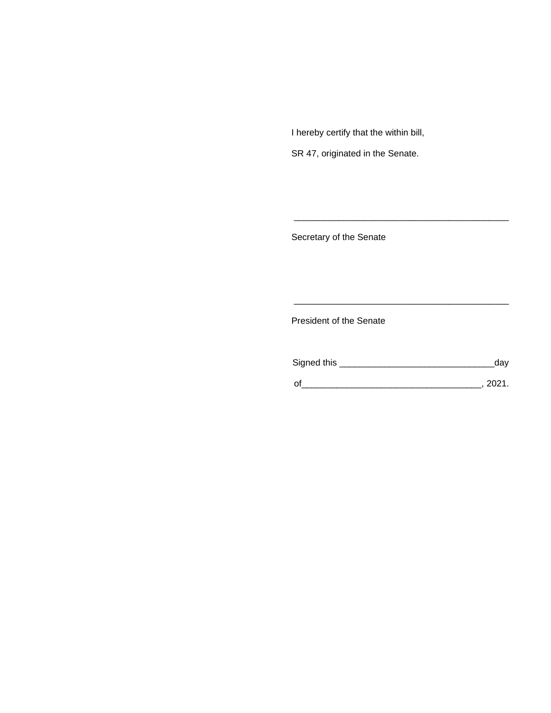I hereby certify that the within bill,

SR 47, originated in the Senate.

Secretary of the Senate

President of the Senate

| Signed this | dav  |
|-------------|------|
|             | 2021 |

\_\_\_\_\_\_\_\_\_\_\_\_\_\_\_\_\_\_\_\_\_\_\_\_\_\_\_\_\_\_\_\_\_\_\_\_\_\_\_\_\_\_\_

\_\_\_\_\_\_\_\_\_\_\_\_\_\_\_\_\_\_\_\_\_\_\_\_\_\_\_\_\_\_\_\_\_\_\_\_\_\_\_\_\_\_\_